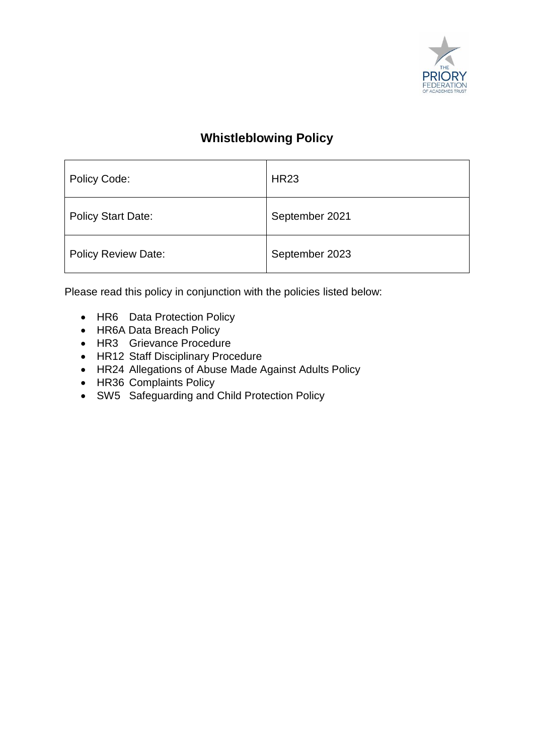

# **Whistleblowing Policy**

| Policy Code:               | <b>HR23</b>    |
|----------------------------|----------------|
| <b>Policy Start Date:</b>  | September 2021 |
| <b>Policy Review Date:</b> | September 2023 |

Please read this policy in conjunction with the policies listed below:

- HR6 Data Protection Policy
- HR6A Data Breach Policy
- HR3 Grievance Procedure
- HR12 Staff Disciplinary Procedure
- HR24 Allegations of Abuse Made Against Adults Policy
- HR36 Complaints Policy
- SW5 Safeguarding and Child Protection Policy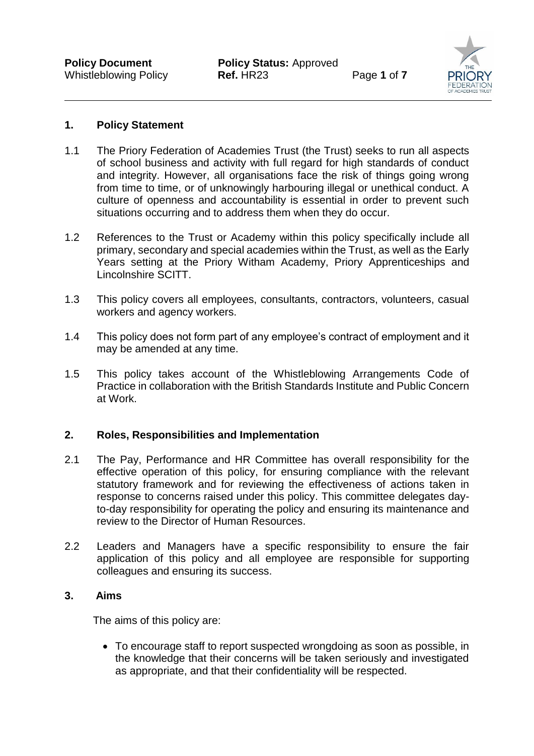

## **1. Policy Statement**

- 1.1 The Priory Federation of Academies Trust (the Trust) seeks to run all aspects of school business and activity with full regard for high standards of conduct and integrity. However, all organisations face the risk of things going wrong from time to time, or of unknowingly harbouring illegal or unethical conduct. A culture of openness and accountability is essential in order to prevent such situations occurring and to address them when they do occur.
- 1.2 References to the Trust or Academy within this policy specifically include all primary, secondary and special academies within the Trust, as well as the Early Years setting at the Priory Witham Academy, Priory Apprenticeships and Lincolnshire SCITT.
- 1.3 This policy covers all employees, consultants, contractors, volunteers, casual workers and agency workers.
- 1.4 This policy does not form part of any employee's contract of employment and it may be amended at any time.
- 1.5 This policy takes account of the Whistleblowing Arrangements Code of Practice in collaboration with the British Standards Institute and Public Concern at Work.

#### **2. Roles, Responsibilities and Implementation**

- 2.1 The Pay, Performance and HR Committee has overall responsibility for the effective operation of this policy, for ensuring compliance with the relevant statutory framework and for reviewing the effectiveness of actions taken in response to concerns raised under this policy. This committee delegates dayto-day responsibility for operating the policy and ensuring its maintenance and review to the Director of Human Resources.
- 2.2 Leaders and Managers have a specific responsibility to ensure the fair application of this policy and all employee are responsible for supporting colleagues and ensuring its success.

# **3. Aims**

The aims of this policy are:

 To encourage staff to report suspected wrongdoing as soon as possible, in the knowledge that their concerns will be taken seriously and investigated as appropriate, and that their confidentiality will be respected.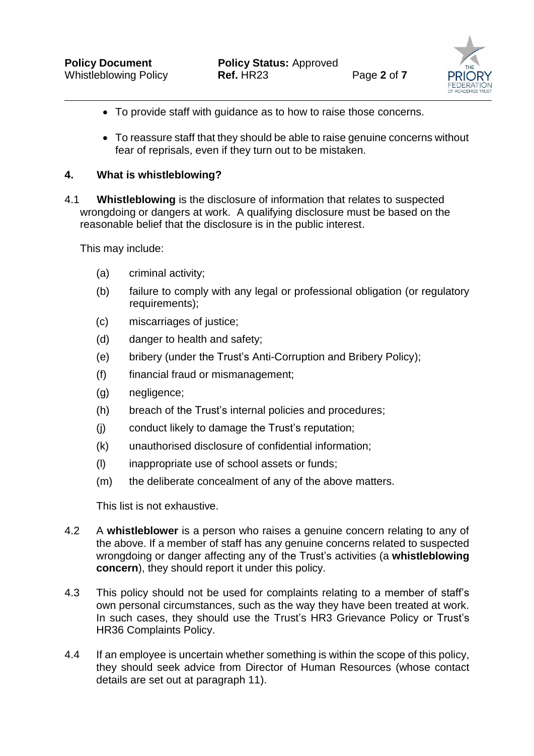

- To provide staff with guidance as to how to raise those concerns.
- To reassure staff that they should be able to raise genuine concerns without fear of reprisals, even if they turn out to be mistaken.

# **4. What is whistleblowing?**

4.1 **Whistleblowing** is the disclosure of information that relates to suspected wrongdoing or dangers at work. A qualifying disclosure must be based on the reasonable belief that the disclosure is in the public interest.

This may include:

- (a) criminal activity;
- (b) failure to comply with any legal or professional obligation (or regulatory requirements);
- (c) miscarriages of justice;
- (d) danger to health and safety;
- (e) bribery (under the Trust's Anti-Corruption and Bribery Policy);
- (f) financial fraud or mismanagement;
- (g) negligence;
- (h) breach of the Trust's internal policies and procedures;
- (j) conduct likely to damage the Trust's reputation;
- (k) unauthorised disclosure of confidential information;
- (l) inappropriate use of school assets or funds;
- (m) the deliberate concealment of any of the above matters.

This list is not exhaustive.

- 4.2 A **whistleblower** is a person who raises a genuine concern relating to any of the above. If a member of staff has any genuine concerns related to suspected wrongdoing or danger affecting any of the Trust's activities (a **whistleblowing concern**), they should report it under this policy.
- 4.3 This policy should not be used for complaints relating to a member of staff's own personal circumstances, such as the way they have been treated at work. In such cases, they should use the Trust's HR3 Grievance Policy or Trust's HR36 Complaints Policy.
- 4.4 If an employee is uncertain whether something is within the scope of this policy, they should seek advice from Director of Human Resources (whose contact details are set out at paragraph 11).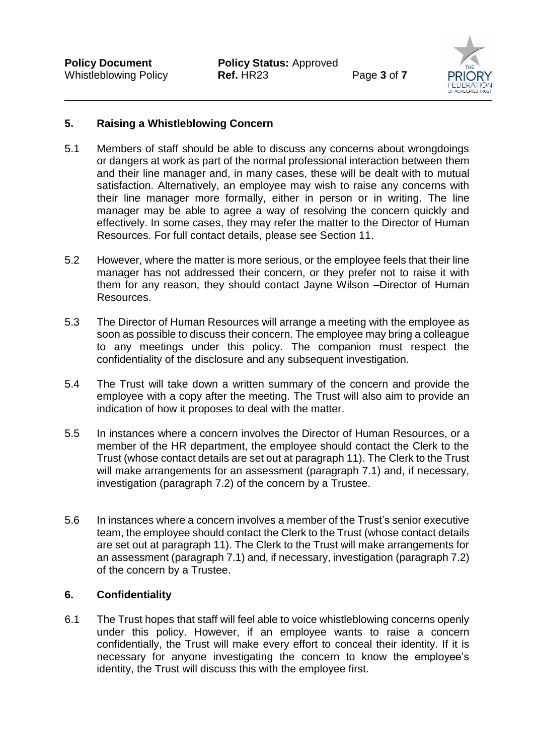

## **5. Raising a Whistleblowing Concern**

- 5.1 Members of staff should be able to discuss any concerns about wrongdoings or dangers at work as part of the normal professional interaction between them and their line manager and, in many cases, these will be dealt with to mutual satisfaction. Alternatively, an employee may wish to raise any concerns with their line manager more formally, either in person or in writing. The line manager may be able to agree a way of resolving the concern quickly and effectively. In some cases, they may refer the matter to the Director of Human Resources. For full contact details, please see Section 11.
- 5.2 However, where the matter is more serious, or the employee feels that their line manager has not addressed their concern, or they prefer not to raise it with them for any reason, they should contact Jayne Wilson –Director of Human Resources.
- 5.3 The Director of Human Resources will arrange a meeting with the employee as soon as possible to discuss their concern. The employee may bring a colleague to any meetings under this policy. The companion must respect the confidentiality of the disclosure and any subsequent investigation.
- 5.4 The Trust will take down a written summary of the concern and provide the employee with a copy after the meeting. The Trust will also aim to provide an indication of how it proposes to deal with the matter.
- 5.5 In instances where a concern involves the Director of Human Resources, or a member of the HR department, the employee should contact the Clerk to the Trust (whose contact details are set out at paragraph 11). The Clerk to the Trust will make arrangements for an assessment (paragraph 7.1) and, if necessary, investigation (paragraph 7.2) of the concern by a Trustee.
- 5.6 In instances where a concern involves a member of the Trust's senior executive team, the employee should contact the Clerk to the Trust (whose contact details are set out at paragraph 11). The Clerk to the Trust will make arrangements for an assessment (paragraph 7.1) and, if necessary, investigation (paragraph 7.2) of the concern by a Trustee.

#### **6. Confidentiality**

6.1 The Trust hopes that staff will feel able to voice whistleblowing concerns openly under this policy. However, if an employee wants to raise a concern confidentially, the Trust will make every effort to conceal their identity. If it is necessary for anyone investigating the concern to know the employee's identity, the Trust will discuss this with the employee first.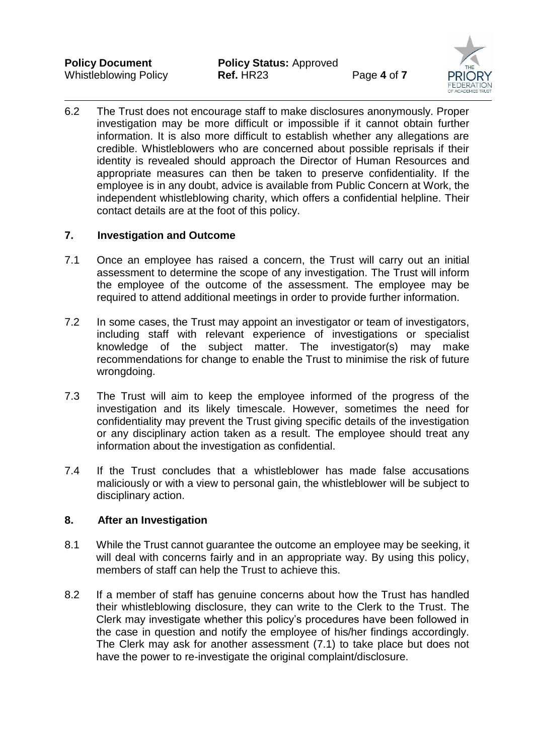

6.2 The Trust does not encourage staff to make disclosures anonymously. Proper investigation may be more difficult or impossible if it cannot obtain further information. It is also more difficult to establish whether any allegations are credible. Whistleblowers who are concerned about possible reprisals if their identity is revealed should approach the Director of Human Resources and appropriate measures can then be taken to preserve confidentiality. If the employee is in any doubt, advice is available from Public Concern at Work, the independent whistleblowing charity, which offers a confidential helpline. Their contact details are at the foot of this policy.

# **7. Investigation and Outcome**

- 7.1 Once an employee has raised a concern, the Trust will carry out an initial assessment to determine the scope of any investigation. The Trust will inform the employee of the outcome of the assessment. The employee may be required to attend additional meetings in order to provide further information.
- 7.2 In some cases, the Trust may appoint an investigator or team of investigators, including staff with relevant experience of investigations or specialist knowledge of the subject matter. The investigator(s) may make recommendations for change to enable the Trust to minimise the risk of future wrongdoing.
- 7.3 The Trust will aim to keep the employee informed of the progress of the investigation and its likely timescale. However, sometimes the need for confidentiality may prevent the Trust giving specific details of the investigation or any disciplinary action taken as a result. The employee should treat any information about the investigation as confidential.
- 7.4 If the Trust concludes that a whistleblower has made false accusations maliciously or with a view to personal gain, the whistleblower will be subject to disciplinary action.

#### **8. After an Investigation**

- 8.1 While the Trust cannot guarantee the outcome an employee may be seeking, it will deal with concerns fairly and in an appropriate way. By using this policy, members of staff can help the Trust to achieve this.
- 8.2 If a member of staff has genuine concerns about how the Trust has handled their whistleblowing disclosure, they can write to the Clerk to the Trust. The Clerk may investigate whether this policy's procedures have been followed in the case in question and notify the employee of his/her findings accordingly. The Clerk may ask for another assessment (7.1) to take place but does not have the power to re-investigate the original complaint/disclosure.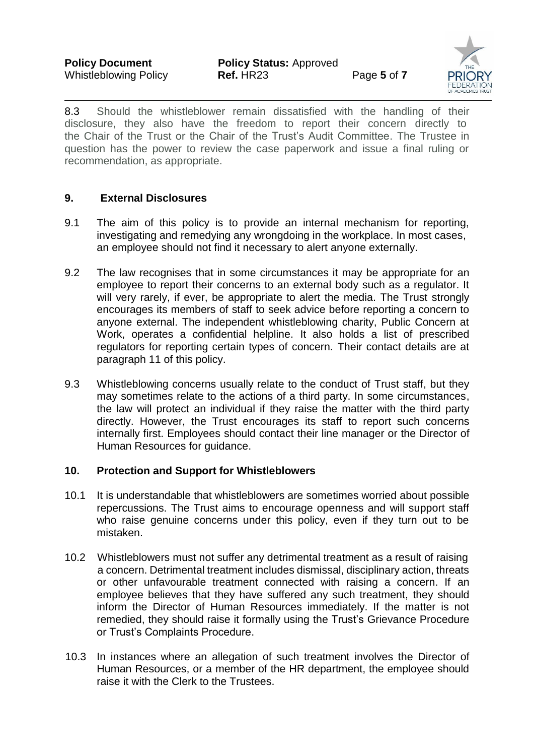

8.3 Should the whistleblower remain dissatisfied with the handling of their disclosure, they also have the freedom to report their concern directly to the Chair of the Trust or the Chair of the Trust's Audit Committee. The Trustee in question has the power to review the case paperwork and issue a final ruling or recommendation, as appropriate.

## **9. External Disclosures**

- 9.1 The aim of this policy is to provide an internal mechanism for reporting, investigating and remedying any wrongdoing in the workplace. In most cases, an employee should not find it necessary to alert anyone externally.
- 9.2 The law recognises that in some circumstances it may be appropriate for an employee to report their concerns to an external body such as a regulator. It will very rarely, if ever, be appropriate to alert the media. The Trust strongly encourages its members of staff to seek advice before reporting a concern to anyone external. The independent whistleblowing charity, Public Concern at Work, operates a confidential helpline. It also holds a list of prescribed regulators for reporting certain types of concern. Their contact details are at paragraph 11 of this policy.
- 9.3 Whistleblowing concerns usually relate to the conduct of Trust staff, but they may sometimes relate to the actions of a third party. In some circumstances, the law will protect an individual if they raise the matter with the third party directly. However, the Trust encourages its staff to report such concerns internally first. Employees should contact their line manager or the Director of Human Resources for guidance.

### **10. Protection and Support for Whistleblowers**

- 10.1 It is understandable that whistleblowers are sometimes worried about possible repercussions. The Trust aims to encourage openness and will support staff who raise genuine concerns under this policy, even if they turn out to be mistaken.
- 10.2 Whistleblowers must not suffer any detrimental treatment as a result of raising a concern. Detrimental treatment includes dismissal, disciplinary action, threats or other unfavourable treatment connected with raising a concern. If an employee believes that they have suffered any such treatment, they should inform the Director of Human Resources immediately. If the matter is not remedied, they should raise it formally using the Trust's Grievance Procedure or Trust's Complaints Procedure.
- 10.3 In instances where an allegation of such treatment involves the Director of Human Resources, or a member of the HR department, the employee should raise it with the Clerk to the Trustees.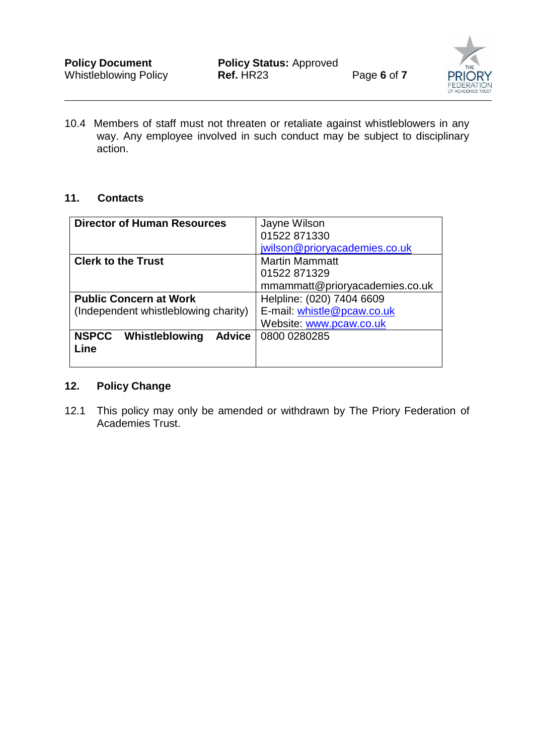

10.4 Members of staff must not threaten or retaliate against whistleblowers in any way. Any employee involved in such conduct may be subject to disciplinary action.

#### **11. Contacts**

| <b>Director of Human Resources</b>              | Jayne Wilson                   |
|-------------------------------------------------|--------------------------------|
|                                                 | 01522 871330                   |
|                                                 | jwilson@prioryacademies.co.uk  |
| <b>Clerk to the Trust</b>                       | <b>Martin Mammatt</b>          |
|                                                 | 01522871329                    |
|                                                 | mmammatt@prioryacademies.co.uk |
| <b>Public Concern at Work</b>                   | Helpline: (020) 7404 6609      |
| (Independent whistleblowing charity)            | E-mail: whistle@pcaw.co.uk     |
|                                                 | Website: www.pcaw.co.uk        |
| <b>NSPCC</b><br>Whistleblowing<br><b>Advice</b> | 0800 0280285                   |
| Line                                            |                                |
|                                                 |                                |

# **12. Policy Change**

12.1 This policy may only be amended or withdrawn by The Priory Federation of Academies Trust.